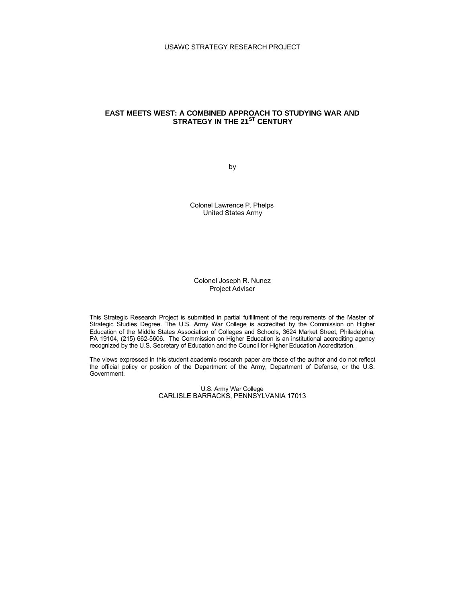# USAWC STRATEGY RESEARCH PROJECT

# **EAST MEETS WEST: A COMBINED APPROACH TO STUDYING WAR AND STRATEGY IN THE 21ST CENTURY**

by

Colonel Lawrence P. Phelps United States Army

Colonel Joseph R. Nunez Project Adviser

This Strategic Research Project is submitted in partial fulfillment of the requirements of the Master of Strategic Studies Degree. The U.S. Army War College is accredited by the Commission on Higher Education of the Middle States Association of Colleges and Schools, 3624 Market Street, Philadelphia, PA 19104, (215) 662-5606. The Commission on Higher Education is an institutional accrediting agency recognized by the U.S. Secretary of Education and the Council for Higher Education Accreditation.

The views expressed in this student academic research paper are those of the author and do not reflect the official policy or position of the Department of the Army, Department of Defense, or the U.S. Government.

> U.S. Army War College CARLISLE BARRACKS, PENNSYLVANIA 17013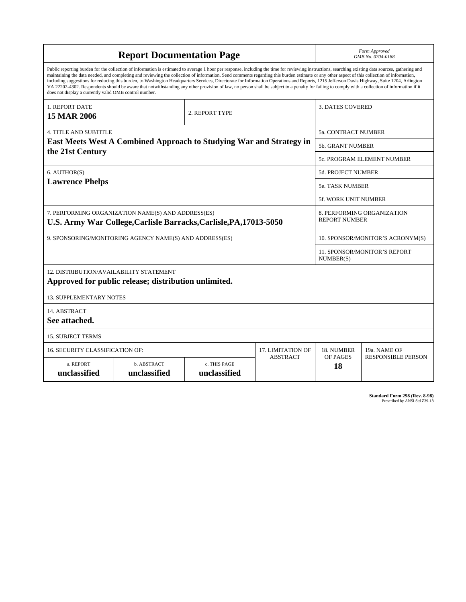| <b>Report Documentation Page</b>                                                                                                                                                                                                                                                                                                                                                                                                                                                                                                                                                                                                                                                                                                                                                                                                                                   |                             |                              |                             |                                  | Form Approved<br>OMB No. 0704-0188                 |  |
|--------------------------------------------------------------------------------------------------------------------------------------------------------------------------------------------------------------------------------------------------------------------------------------------------------------------------------------------------------------------------------------------------------------------------------------------------------------------------------------------------------------------------------------------------------------------------------------------------------------------------------------------------------------------------------------------------------------------------------------------------------------------------------------------------------------------------------------------------------------------|-----------------------------|------------------------------|-----------------------------|----------------------------------|----------------------------------------------------|--|
| Public reporting burden for the collection of information is estimated to average 1 hour per response, including the time for reviewing instructions, searching existing data sources, gathering and<br>maintaining the data needed, and completing and reviewing the collection of information. Send comments regarding this burden estimate or any other aspect of this collection of information,<br>including suggestions for reducing this burden, to Washington Headquarters Services, Directorate for Information Operations and Reports, 1215 Jefferson Davis Highway, Suite 1204, Arlington<br>VA 22202-4302. Respondents should be aware that notwithstanding any other provision of law, no person shall be subject to a penalty for failing to comply with a collection of information if it<br>does not display a currently valid OMB control number. |                             |                              |                             |                                  |                                                    |  |
| 1. REPORT DATE<br><b>15 MAR 2006</b>                                                                                                                                                                                                                                                                                                                                                                                                                                                                                                                                                                                                                                                                                                                                                                                                                               |                             | 2. REPORT TYPE               |                             | <b>3. DATES COVERED</b>          |                                                    |  |
| <b>4. TITLE AND SUBTITLE</b>                                                                                                                                                                                                                                                                                                                                                                                                                                                                                                                                                                                                                                                                                                                                                                                                                                       |                             |                              |                             | <b>5a. CONTRACT NUMBER</b>       |                                                    |  |
| <b>East Meets West A Combined Approach to Studying War and Strategy in</b>                                                                                                                                                                                                                                                                                                                                                                                                                                                                                                                                                                                                                                                                                                                                                                                         |                             |                              |                             |                                  | <b>5b. GRANT NUMBER</b>                            |  |
| the 21st Century                                                                                                                                                                                                                                                                                                                                                                                                                                                                                                                                                                                                                                                                                                                                                                                                                                                   |                             |                              | 5c. PROGRAM ELEMENT NUMBER  |                                  |                                                    |  |
| 6. AUTHOR(S)                                                                                                                                                                                                                                                                                                                                                                                                                                                                                                                                                                                                                                                                                                                                                                                                                                                       |                             |                              | <b>5d. PROJECT NUMBER</b>   |                                  |                                                    |  |
| <b>Lawrence Phelps</b>                                                                                                                                                                                                                                                                                                                                                                                                                                                                                                                                                                                                                                                                                                                                                                                                                                             |                             |                              |                             | <b>5e. TASK NUMBER</b>           |                                                    |  |
|                                                                                                                                                                                                                                                                                                                                                                                                                                                                                                                                                                                                                                                                                                                                                                                                                                                                    |                             |                              | <b>5f. WORK UNIT NUMBER</b> |                                  |                                                    |  |
| 7. PERFORMING ORGANIZATION NAME(S) AND ADDRESS(ES)<br>U.S. Army War College, Carlisle Barracks, Carlisle, PA, 17013-5050                                                                                                                                                                                                                                                                                                                                                                                                                                                                                                                                                                                                                                                                                                                                           |                             |                              |                             |                                  | 8. PERFORMING ORGANIZATION<br><b>REPORT NUMBER</b> |  |
| 9. SPONSORING/MONITORING AGENCY NAME(S) AND ADDRESS(ES)                                                                                                                                                                                                                                                                                                                                                                                                                                                                                                                                                                                                                                                                                                                                                                                                            |                             |                              |                             | 10. SPONSOR/MONITOR'S ACRONYM(S) |                                                    |  |
|                                                                                                                                                                                                                                                                                                                                                                                                                                                                                                                                                                                                                                                                                                                                                                                                                                                                    |                             |                              |                             |                                  | <b>11. SPONSOR/MONITOR'S REPORT</b><br>NUMBER(S)   |  |
| 12. DISTRIBUTION/AVAILABILITY STATEMENT<br>Approved for public release; distribution unlimited.                                                                                                                                                                                                                                                                                                                                                                                                                                                                                                                                                                                                                                                                                                                                                                    |                             |                              |                             |                                  |                                                    |  |
| <b>13. SUPPLEMENTARY NOTES</b>                                                                                                                                                                                                                                                                                                                                                                                                                                                                                                                                                                                                                                                                                                                                                                                                                                     |                             |                              |                             |                                  |                                                    |  |
| 14. ABSTRACT<br>See attached.                                                                                                                                                                                                                                                                                                                                                                                                                                                                                                                                                                                                                                                                                                                                                                                                                                      |                             |                              |                             |                                  |                                                    |  |
| <b>15. SUBJECT TERMS</b>                                                                                                                                                                                                                                                                                                                                                                                                                                                                                                                                                                                                                                                                                                                                                                                                                                           |                             |                              |                             |                                  |                                                    |  |
| <b>16. SECURITY CLASSIFICATION OF:</b>                                                                                                                                                                                                                                                                                                                                                                                                                                                                                                                                                                                                                                                                                                                                                                                                                             | <b>17. LIMITATION OF</b>    | 18. NUMBER                   | 19a. NAME OF                |                                  |                                                    |  |
| a. REPORT<br>unclassified                                                                                                                                                                                                                                                                                                                                                                                                                                                                                                                                                                                                                                                                                                                                                                                                                                          | b. ABSTRACT<br>unclassified | c. THIS PAGE<br>unclassified | <b>ABSTRACT</b>             | OF PAGES<br>18                   | <b>RESPONSIBLE PERSON</b>                          |  |

**Standard Form 298 (Rev. 8-98)**<br>Prescribed by ANSI Std Z39-18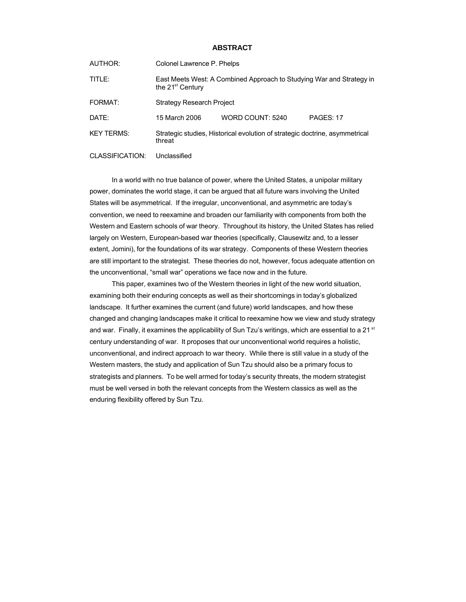## **ABSTRACT**

| AUTHOR:    | Colonel Lawrence P. Phelps                                                                           |                  |           |  |  |
|------------|------------------------------------------------------------------------------------------------------|------------------|-----------|--|--|
| TITLE:     | East Meets West: A Combined Approach to Studying War and Strategy in<br>the 21 <sup>st</sup> Century |                  |           |  |  |
| FORMAT:    | <b>Strategy Research Project</b>                                                                     |                  |           |  |  |
| DATE:      | 15 March 2006                                                                                        | WORD COUNT: 5240 | PAGES: 17 |  |  |
| KEY TERMS: | Strategic studies, Historical evolution of strategic doctrine, asymmetrical<br>threat                |                  |           |  |  |

CLASSIFICATION: Unclassified

In a world with no true balance of power, where the United States, a unipolar military power, dominates the world stage, it can be argued that all future wars involving the United States will be asymmetrical. If the irregular, unconventional, and asymmetric are today's convention, we need to reexamine and broaden our familiarity with components from both the Western and Eastern schools of war theory. Throughout its history, the United States has relied largely on Western, European-based war theories (specifically, Clausewitz and, to a lesser extent, Jomini), for the foundations of its war strategy. Components of these Western theories are still important to the strategist. These theories do not, however, focus adequate attention on the unconventional, "small war" operations we face now and in the future.

This paper, examines two of the Western theories in light of the new world situation, examining both their enduring concepts as well as their shortcomings in today's globalized landscape. It further examines the current (and future) world landscapes, and how these changed and changing landscapes make it critical to reexamine how we view and study strategy and war. Finally, it examines the applicability of Sun Tzu's writings, which are essential to a 21<sup>st</sup> century understanding of war. It proposes that our unconventional world requires a holistic, unconventional, and indirect approach to war theory. While there is still value in a study of the Western masters, the study and application of Sun Tzu should also be a primary focus to strategists and planners. To be well armed for today's security threats, the modern strategist must be well versed in both the relevant concepts from the Western classics as well as the enduring flexibility offered by Sun Tzu.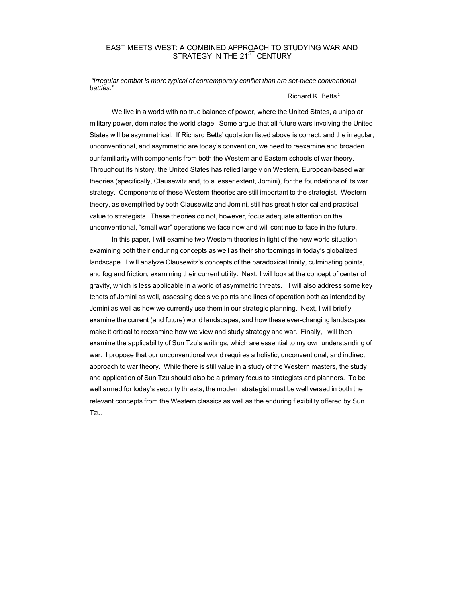# EAST MEETS WEST: A COMBINED APPROACH TO STUDYING WAR AND STRATEGY IN THE 21<sup>ST</sup> CENTURY

*"Irregular combat is more typical of contemporary conflict than are set-piece conventional battles."*

#### Richard K. Betts *<sup>1</sup>*

We live in a world with no true balance of power, where the United States, a unipolar military power, dominates the world stage. Some argue that all future wars involving the United States will be asymmetrical. If Richard Betts' quotation listed above is correct, and the irregular, unconventional, and asymmetric are today's convention, we need to reexamine and broaden our familiarity with components from both the Western and Eastern schools of war theory. Throughout its history, the United States has relied largely on Western, European-based war theories (specifically, Clausewitz and, to a lesser extent, Jomini), for the foundations of its war strategy. Components of these Western theories are still important to the strategist. Western theory, as exemplified by both Clausewitz and Jomini, still has great historical and practical value to strategists. These theories do not, however, focus adequate attention on the unconventional, "small war" operations we face now and will continue to face in the future.

In this paper, I will examine two Western theories in light of the new world situation, examining both their enduring concepts as well as their shortcomings in today's globalized landscape. I will analyze Clausewitz's concepts of the paradoxical trinity, culminating points, and fog and friction, examining their current utility. Next, I will look at the concept of center of gravity, which is less applicable in a world of asymmetric threats. I will also address some key tenets of Jomini as well, assessing decisive points and lines of operation both as intended by Jomini as well as how we currently use them in our strategic planning. Next, I will briefly examine the current (and future) world landscapes, and how these ever-changing landscapes make it critical to reexamine how we view and study strategy and war. Finally, I will then examine the applicability of Sun Tzu's writings, which are essential to my own understanding of war. I propose that our unconventional world requires a holistic, unconventional, and indirect approach to war theory. While there is still value in a study of the Western masters, the study and application of Sun Tzu should also be a primary focus to strategists and planners. To be well armed for today's security threats, the modern strategist must be well versed in both the relevant concepts from the Western classics as well as the enduring flexibility offered by Sun Tzu.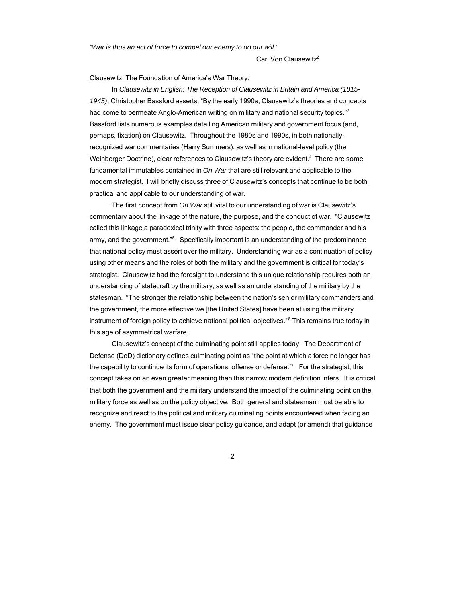*"War is thus an act of force to compel our enemy to do our will."*

Carl Von Clausewitz<sup>2</sup>

#### Clausewitz: The Foundation of America's War Theory:

In *Clausewitz in English: The Reception of Clausewitz in Britain and America (1815- 1945)*, Christopher Bassford asserts, "By the early 1990s, Clausewitz's theories and concepts had come to permeate Anglo-American writing on military and national security topics."<sup>3</sup> Bassford lists numerous examples detailing American military and government focus (and, perhaps, fixation) on Clausewitz. Throughout the 1980s and 1990s, in both nationallyrecognized war commentaries (Harry Summers), as well as in national-level policy (the Weinberger Doctrine), clear references to Clausewitz's theory are evident.<sup>4</sup> There are some fundamental immutables contained in *On War* that are still relevant and applicable to the modern strategist. I will briefly discuss three of Clausewitz's concepts that continue to be both practical and applicable to our understanding of war.

The first concept from *On War* still vital to our understanding of war is Clausewitz's commentary about the linkage of the nature, the purpose, and the conduct of war. "Clausewitz called this linkage a paradoxical trinity with three aspects: the people, the commander and his army, and the government."<sup>5</sup> Specifically important is an understanding of the predominance that national policy must assert over the military. Understanding war as a continuation of policy using other means and the roles of both the military and the government is critical for today's strategist. Clausewitz had the foresight to understand this unique relationship requires both an understanding of statecraft by the military, as well as an understanding of the military by the statesman. "The stronger the relationship between the nation's senior military commanders and the government, the more effective we [the United States] have been at using the military instrument of foreign policy to achieve national political objectives."<sup>6</sup> This remains true today in this age of asymmetrical warfare.

Clausewitz's concept of the culminating point still applies today. The Department of Defense (DoD) dictionary defines culminating point as "the point at which a force no longer has the capability to continue its form of operations, offense or defense."<sup>7</sup> For the strategist, this concept takes on an even greater meaning than this narrow modern definition infers. It is critical that both the government and the military understand the impact of the culminating point on the military force as well as on the policy objective. Both general and statesman must be able to recognize and react to the political and military culminating points encountered when facing an enemy. The government must issue clear policy guidance, and adapt (or amend) that guidance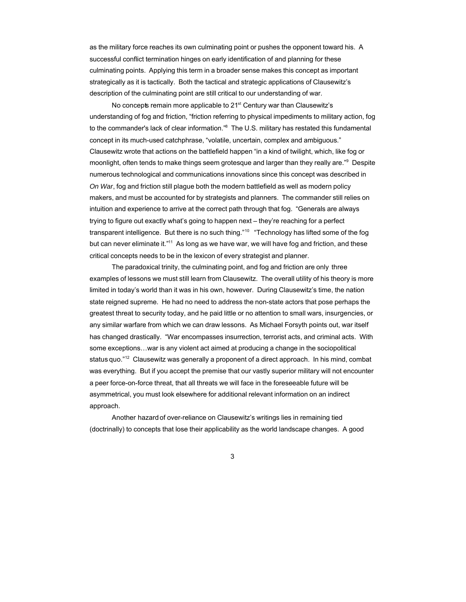as the military force reaches its own culminating point or pushes the opponent toward his. A successful conflict termination hinges on early identification of and planning for these culminating points. Applying this term in a broader sense makes this concept as important strategically as it is tactically. Both the tactical and strategic applications of Clausewitz's description of the culminating point are still critical to our understanding of war.

No concepts remain more applicable to 21<sup>st</sup> Century war than Clausewitz's understanding of fog and friction, "friction referring to physical impediments to military action, fog to the commander's lack of clear information."<sup>8</sup> The U.S. military has restated this fundamental concept in its much-used catchphrase, "volatile, uncertain, complex and ambiguous." Clausewitz wrote that actions on the battlefield happen "in a kind of twilight, which, like fog or moonlight, often tends to make things seem grotesque and larger than they really are."<sup>9</sup> Despite numerous technological and communications innovations since this concept was described in *On War*, fog and friction still plague both the modern battlefield as well as modern policy makers, and must be accounted for by strategists and planners. The commander still relies on intuition and experience to arrive at the correct path through that fog. "Generals are always trying to figure out exactly what's going to happen next – they're reaching for a perfect transparent intelligence. But there is no such thing."<sup>10</sup> "Technology has lifted some of the fog but can never eliminate it."<sup>11</sup> As long as we have war, we will have fog and friction, and these critical concepts needs to be in the lexicon of every strategist and planner.

The paradoxical trinity, the culminating point, and fog and friction are only three examples of lessons we must still learn from Clausewitz. The overall utility of his theory is more limited in today's world than it was in his own, however. During Clausewitz's time, the nation state reigned supreme. He had no need to address the non-state actors that pose perhaps the greatest threat to security today, and he paid little or no attention to small wars, insurgencies, or any similar warfare from which we can draw lessons. As Michael Forsyth points out, war itself has changed drastically. "War encompasses insurrection, terrorist acts, and criminal acts. With some exceptions…war is any violent act aimed at producing a change in the sociopolitical status quo."<sup>12</sup> Clausewitz was generally a proponent of a direct approach. In his mind, combat was everything. But if you accept the premise that our vastly superior military will not encounter a peer force-on-force threat, that all threats we will face in the foreseeable future will be asymmetrical, you must look elsewhere for additional relevant information on an indirect approach.

Another hazard of over-reliance on Clausewitz's writings lies in remaining tied (doctrinally) to concepts that lose their applicability as the world landscape changes. A good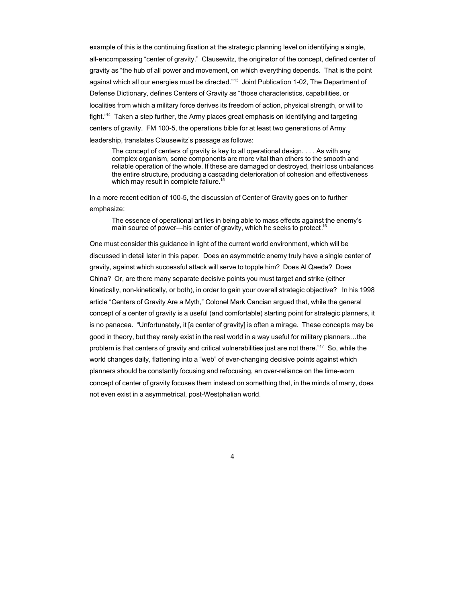example of this is the continuing fixation at the strategic planning level on identifying a single, all-encompassing "center of gravity." Clausewitz, the originator of the concept, defined center of gravity as "the hub of all power and movement, on which everything depends. That is the point against which all our energies must be directed."<sup>13</sup> Joint Publication 1-02, The Department of Defense Dictionary, defines Centers of Gravity as "those characteristics, capabilities, or localities from which a military force derives its freedom of action, physical strength, or will to fight."<sup>14</sup> Taken a step further, the Army places great emphasis on identifying and targeting centers of gravity. FM 100-5, the operations bible for at least two generations of Army leadership, translates Clausewitz's passage as follows:

The concept of centers of gravity is key to all operational design. . . . As with any complex organism, some components are more vital than others to the smooth and reliable operation of the whole. If these are damaged or destroyed, their loss unbalances the entire structure, producing a cascading deterioration of cohesion and effectiveness which may result in complete failure.<sup>15</sup>

In a more recent edition of 100-5, the discussion of Center of Gravity goes on to further emphasize:

The essence of operational art lies in being able to mass effects against the enemy's main source of power—his center of gravity, which he seeks to protect. 16

One must consider this guidance in light of the current world environment, which will be discussed in detail later in this paper. Does an asymmetric enemy truly have a single center of gravity, against which successful attack will serve to topple him? Does Al Qaeda? Does China? Or, are there many separate decisive points you must target and strike (either kinetically, non-kinetically, or both), in order to gain your overall strategic objective? In his 1998 article "Centers of Gravity Are a Myth," Colonel Mark Cancian argued that, while the general concept of a center of gravity is a useful (and comfortable) starting point for strategic planners, it is no panacea. "Unfortunately, it [a center of gravity] is often a mirage. These concepts may be good in theory, but they rarely exist in the real world in a way useful for military planners…the problem is that centers of gravity and critical vulnerabilities just are not there."<sup>17</sup> So, while the world changes daily, flattening into a "web" of ever-changing decisive points against which planners should be constantly focusing and refocusing, an over-reliance on the time-worn concept of center of gravity focuses them instead on something that, in the minds of many, does not even exist in a asymmetrical, post-Westphalian world.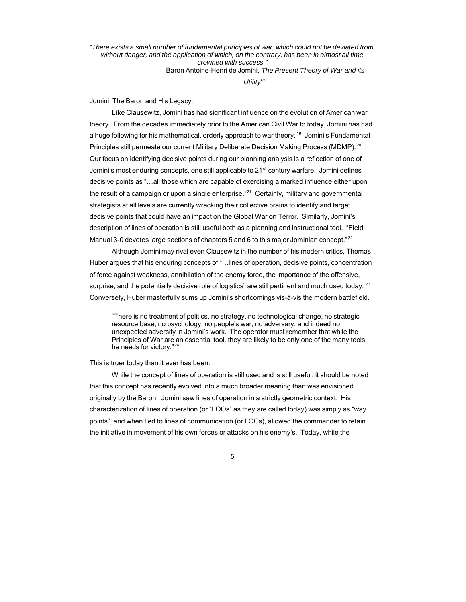*"There exists a small number of fundamental principles of war, which could not be deviated from without danger, and the application of which, on the contrary, has been in almost all time crowned with success."*

Baron Antoine-Henri de Jomini, *The Present Theory of War and its*

*Utility<sup>18</sup>*

## Jomini: The Baron and His Legacy:

Like Clausewitz, Jomini has had significant influence on the evolution of American war theory. From the decades immediately prior to the American Civil War to today, Jomini has had a huge following for his mathematical, orderly approach to war theory.<sup>19</sup> Jomini's Fundamental Principles still permeate our current Military Deliberate Decision Making Process (MDMP).<sup>20</sup> Our focus on identifying decisive points during our planning analysis is a reflection of one of Jomini's most enduring concepts, one still applicable to 21<sup>st</sup> century warfare. Jomini defines decisive points as "…all those which are capable of exercising a marked influence either upon the result of a campaign or upon a single enterprise."<sup>21</sup> Certainly, military and governmental strategists at all levels are currently wracking their collective brains to identify and target decisive points that could have an impact on the Global War on Terror. Similarly, Jomini's description of lines of operation is still useful both as a planning and instructional tool. "Field Manual 3-0 devotes large sections of chapters 5 and 6 to this major Jominian concept." $^{22}$ 

Although Jomini may rival even Clausewitz in the number of his modern critics, Thomas Huber argues that his enduring concepts of "…lines of operation, decisive points, concentration of force against weakness, annihilation of the enemy force, the importance of the offensive, surprise, and the potentially decisive role of logistics" are still pertinent and much used today.  $^{23}$ Conversely, Huber masterfully sums up Jomini's shortcomings vis-à-vis the modern battlefield.

"There is no treatment of politics, no strategy, no technological change, no strategic resource base, no psychology, no people's war, no adversary, and indeed no unexpected adversity in Jomini's work. The operator must remember that while the Principles of War are an essential tool, they are likely to be only one of the many tools he needs for victory."<sup>24</sup>

#### This is truer today than it ever has been.

While the concept of lines of operation is still used and is still useful, it should be noted that this concept has recently evolved into a much broader meaning than was envisioned originally by the Baron. Jomini saw lines of operation in a strictly geometric context. His characterization of lines of operation (or "LOOs" as they are called today) was simply as "way points", and when tied to lines of communication (or LOCs), allowed the commander to retain the initiative in movement of his own forces or attacks on his enemy's. Today, while the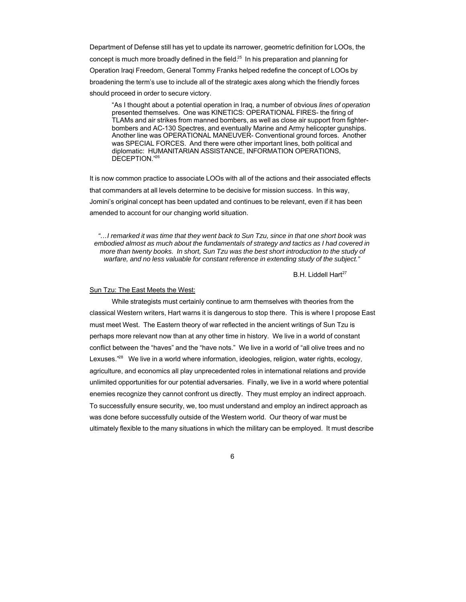Department of Defense still has yet to update its narrower, geometric definition for LOOs, the concept is much more broadly defined in the field.<sup>25</sup> In his preparation and planning for Operation Iraqi Freedom, General Tommy Franks helped redefine the concept of LOOs by broadening the term's use to include all of the strategic axes along which the friendly forces should proceed in order to secure victory.

"As I thought about a potential operation in Iraq, a number of obvious *lines of operation* presented themselves. One was KINETICS: OPERATIONAL FIRES- the firing of TLAMs and air strikes from manned bombers, as well as close air support from fighterbombers and AC-130 Spectres, and eventually Marine and Army helicopter gunships. Another line was OPERATIONAL MANEUVER- Conventional ground forces. Another was SPECIAL FORCES. And there were other important lines, both political and diplomatic: HUMANITARIAN ASSISTANCE, INFORMATION OPERATIONS, DECEPTION."<sup>26</sup>

It is now common practice to associate LOOs with all of the actions and their associated effects that commanders at all levels determine to be decisive for mission success. In this way, Jomini's original concept has been updated and continues to be relevant, even if it has been amended to account for our changing world situation.

*"…I remarked it was time that they went back to Sun Tzu, since in that one short book was embodied almost as much about the fundamentals of strategy and tactics as I had covered in more than twenty books. In short, Sun Tzu was the best short introduction to the study of warfare, and no less valuable for constant reference in extending study of the subject."*

B.H. Liddell Hart<sup>27</sup>

### Sun Tzu: The East Meets the West:

While strategists must certainly continue to arm themselves with theories from the classical Western writers, Hart warns it is dangerous to stop there. This is where I propose East must meet West. The Eastern theory of war reflected in the ancient writings of Sun Tzu is perhaps more relevant now than at any other time in history. We live in a world of constant conflict between the "haves" and the "have nots." We live in a world of "all olive trees and no Lexuses."<sup>28</sup> We live in a world where information, ideologies, religion, water rights, ecology, agriculture, and economics all play unprecedented roles in international relations and provide unlimited opportunities for our potential adversaries. Finally, we live in a world where potential enemies recognize they cannot confront us directly. They must employ an indirect approach. To successfully ensure security, we, too must understand and employ an indirect approach as was done before successfully outside of the Western world. Our theory of war must be ultimately flexible to the many situations in which the military can be employed. It must describe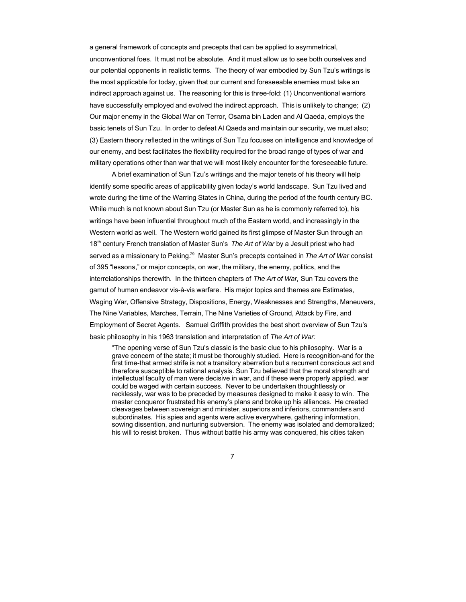a general framework of concepts and precepts that can be applied to asymmetrical, unconventional foes. It must not be absolute. And it must allow us to see both ourselves and our potential opponents in realistic terms. The theory of war embodied by Sun Tzu's writings is the most applicable for today, given that our current and foreseeable enemies must take an indirect approach against us. The reasoning for this is three-fold: (1) Unconventional warriors have successfully employed and evolved the indirect approach. This is unlikely to change; (2) Our major enemy in the Global War on Terror, Osama bin Laden and Al Qaeda, employs the basic tenets of Sun Tzu. In order to defeat Al Qaeda and maintain our security, we must also; (3) Eastern theory reflected in the writings of Sun Tzu focuses on intelligence and knowledge of our enemy, and best facilitates the flexibility required for the broad range of types of war and military operations other than war that we will most likely encounter for the foreseeable future.

A brief examination of Sun Tzu's writings and the major tenets of his theory will help identify some specific areas of applicability given today's world landscape. Sun Tzu lived and wrote during the time of the Warring States in China, during the period of the fourth century BC. While much is not known about Sun Tzu (or Master Sun as he is commonly referred to), his writings have been influential throughout much of the Eastern world, and increasingly in the Western world as well. The Western world gained its first glimpse of Master Sun through an 18th century French translation of Master Sun's *The Art of War* by a Jesuit priest who had served as a missionary to Peking.<sup>29</sup> Master Sun's precepts contained in *The Art of War* consist of 395 "lessons," or major concepts, on war, the military, the enemy, politics, and the interrelationships therewith. In the thirteen chapters of *The Art of War,* Sun Tzu covers the gamut of human endeavor vis-à-vis warfare. His major topics and themes are Estimates, Waging War, Offensive Strategy, Dispositions, Energy, Weaknesses and Strengths, Maneuvers, The Nine Variables, Marches, Terrain, The Nine Varieties of Ground, Attack by Fire, and Employment of Secret Agents. Samuel Griffith provides the best short overview of Sun Tzu's basic philosophy in his 1963 translation and interpretation of *The Art of War:*

"The opening verse of Sun Tzu's classic is the basic clue to his philosophy. War is a grave concern of the state; it must be thoroughly studied. Here is recognition-and for the first time-that armed strife is not a transitory aberration but a recurrent conscious act and therefore susceptible to rational analysis. Sun Tzu believed that the moral strength and intellectual faculty of man were decisive in war, and if these were properly applied, war could be waged with certain success. Never to be undertaken thoughtlessly or recklessly, war was to be preceded by measures designed to make it easy to win. The master conqueror frustrated his enemy's plans and broke up his alliances. He created cleavages between sovereign and minister, superiors and inferiors, commanders and subordinates. His spies and agents were active everywhere, gathering information, sowing dissention, and nurturing subversion. The enemy was isolated and demoralized; his will to resist broken. Thus without battle his army was conquered, his cities taken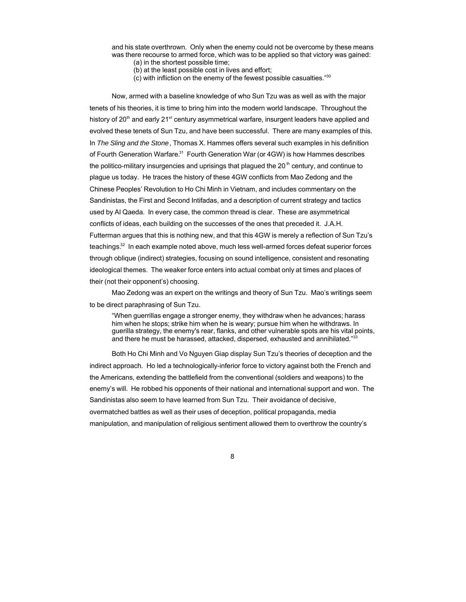and his state overthrown. Only when the enemy could not be overcome by these means was there recourse to armed force, which was to be applied so that victory was gained:

- (a) in the shortest possible time;
- (b) at the least possible cost in lives and effort;
- (c) with infliction on the enemy of the fewest possible casualties."<sup>30</sup>

Now, armed with a baseline knowledge of who Sun Tzu was as well as with the major tenets of his theories, it is time to bring him into the modern world landscape. Throughout the history of 20<sup>th</sup> and early 21<sup>st</sup> century asymmetrical warfare, insurgent leaders have applied and evolved these tenets of Sun Tzu, and have been successful. There are many examples of this. In *The Sling and the Stone*, Thomas X. Hammes offers several such examples in his definition of Fourth Generation Warfare.<sup>31</sup> Fourth Generation War (or 4GW) is how Hammes describes the politico-military insurgencies and uprisings that plagued the 20<sup>th</sup> century, and continue to plague us today. He traces the history of these 4GW conflicts from Mao Zedong and the Chinese Peoples' Revolution to Ho Chi Minh in Vietnam, and includes commentary on the Sandinistas, the First and Second Intifadas, and a description of current strategy and tactics used by Al Qaeda. In every case, the common thread is clear. These are asymmetrical conflicts of ideas, each building on the successes of the ones that preceded it. J.A.H. Futterman argues that this is nothing new, and that this 4GW is merely a reflection of Sun Tzu's teachings.<sup>32</sup> In each example noted above, much less well-armed forces defeat superior forces through oblique (indirect) strategies, focusing on sound intelligence, consistent and resonating ideological themes. The weaker force enters into actual combat only at times and places of their (not their opponent's) choosing.

Mao Zedong was an expert on the writings and theory of Sun Tzu. Mao's writings seem to be direct paraphrasing of Sun Tzu.

"When guerrillas engage a stronger enemy, they withdraw when he advances; harass him when he stops; strike him when he is weary; pursue him when he withdraws. In guerilla strategy, the enemy's rear, flanks, and other vulnerable spots are his vital points, and there he must be harassed, attacked, dispersed, exhausted and annihilated."<sup>33</sup>

Both Ho Chi Minh and Vo Nguyen Giap display Sun Tzu's theories of deception and the indirect approach. Ho led a technologically-inferior force to victory against both the French and the Americans, extending the battlefield from the conventional (soldiers and weapons) to the enemy's will. He robbed his opponents of their national and international support and won. The Sandinistas also seem to have learned from Sun Tzu. Their avoidance of decisive, overmatched battles as well as their uses of deception, political propaganda, media manipulation, and manipulation of religious sentiment allowed them to overthrow the country's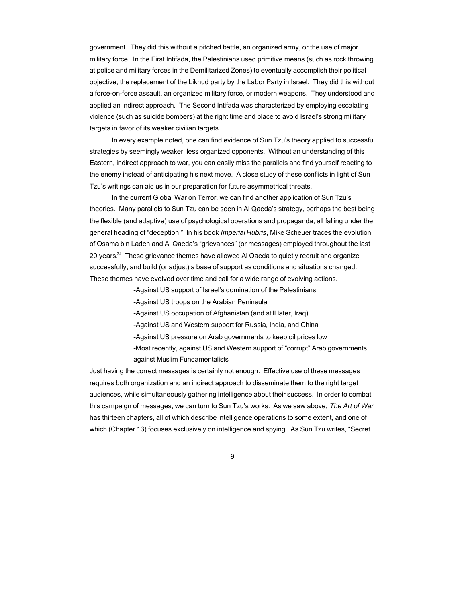government. They did this without a pitched battle, an organized army, or the use of major military force. In the First Intifada, the Palestinians used primitive means (such as rock throwing at police and military forces in the Demilitarized Zones) to eventually accomplish their political objective, the replacement of the Likhud party by the Labor Party in Israel. They did this without a force-on-force assault, an organized military force, or modern weapons. They understood and applied an indirect approach. The Second Intifada was characterized by employing escalating violence (such as suicide bombers) at the right time and place to avoid Israel's strong military targets in favor of its weaker civilian targets.

In every example noted, one can find evidence of Sun Tzu's theory applied to successful strategies by seemingly weaker, less organized opponents. Without an understanding of this Eastern, indirect approach to war, you can easily miss the parallels and find yourself reacting to the enemy instead of anticipating his next move. A close study of these conflicts in light of Sun Tzu's writings can aid us in our preparation for future asymmetrical threats.

In the current Global War on Terror, we can find another application of Sun Tzu's theories. Many parallels to Sun Tzu can be seen in Al Qaeda's strategy, perhaps the best being the flexible (and adaptive) use of psychological operations and propaganda, all falling under the general heading of "deception." In his book *Imperial Hubris*, Mike Scheuer traces the evolution of Osama bin Laden and Al Qaeda's "grievances" (or messages) employed throughout the last 20 vears.<sup>34</sup> These grievance themes have allowed Al Qaeda to quietly recruit and organize successfully, and build (or adjust) a base of support as conditions and situations changed. These themes have evolved over time and call for a wide range of evolving actions.

-Against US support of Israel's domination of the Palestinians.

-Against US troops on the Arabian Peninsula

-Against US occupation of Afghanistan (and still later, Iraq)

-Against US and Western support for Russia, India, and China

-Against US pressure on Arab governments to keep oil prices low

-Most recently, against US and Western support of "corrupt" Arab governments against Muslim Fundamentalists

Just having the correct messages is certainly not enough. Effective use of these messages requires both organization and an indirect approach to disseminate them to the right target audiences, while simultaneously gathering intelligence about their success. In order to combat this campaign of messages, we can turn to Sun Tzu's works. As we saw above, *The Art of War* has thirteen chapters, all of which describe intelligence operations to some extent, and one of which (Chapter 13) focuses exclusively on intelligence and spying. As Sun Tzu writes, "Secret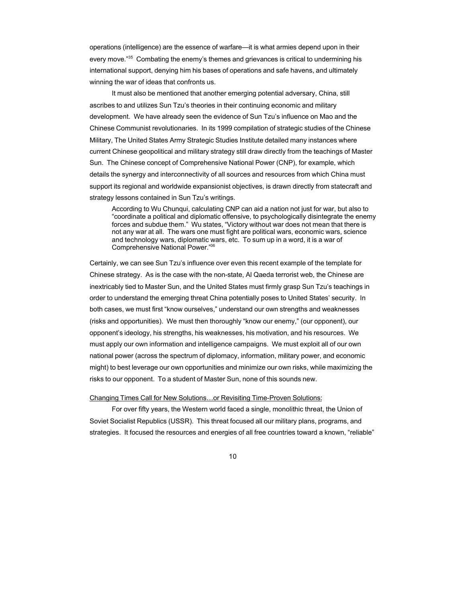operations (intelligence) are the essence of warfare—it is what armies depend upon in their every move."<sup>35</sup> Combating the enemy's themes and grievances is critical to undermining his international support, denying him his bases of operations and safe havens, and ultimately winning the war of ideas that confronts us.

It must also be mentioned that another emerging potential adversary, China, still ascribes to and utilizes Sun Tzu's theories in their continuing economic and military development. We have already seen the evidence of Sun Tzu's influence on Mao and the Chinese Communist revolutionaries. In its 1999 compilation of strategic studies of the Chinese Military, The United States Army Strategic Studies Institute detailed many instances where current Chinese geopolitical and military strategy still draw directly from the teachings of Master Sun. The Chinese concept of Comprehensive National Power (CNP), for example, which details the synergy and interconnectivity of all sources and resources from which China must support its regional and worldwide expansionist objectives, is drawn directly from statecraft and strategy lessons contained in Sun Tzu's writings.

According to Wu Chunqui, calculating CNP can aid a nation not just for war, but also to "coordinate a political and diplomatic offensive, to psychologically disintegrate the enemy forces and subdue them." Wu states, "Victory without war does not mean that there is not any war at all. The wars one must fight are political wars, economic wars, science and technology wars, diplomatic wars, etc. To sum up in a word, it is a war of Comprehensive National Power."<sup>36</sup>

Certainly, we can see Sun Tzu's influence over even this recent example of the template for Chinese strategy. As is the case with the non-state, Al Qaeda terrorist web, the Chinese are inextricably tied to Master Sun, and the United States must firmly grasp Sun Tzu's teachings in order to understand the emerging threat China potentially poses to United States' security. In both cases, we must first "know ourselves," understand our own strengths and weaknesses (risks and opportunities). We must then thoroughly "know our enemy," (our opponent), our opponent's ideology, his strengths, his weaknesses, his motivation, and his resources. We must apply our own information and intelligence campaigns. We must exploit all of our own national power (across the spectrum of diplomacy, information, military power, and economic might) to best leverage our own opportunities and minimize our own risks, while maximizing the risks to our opponent. To a student of Master Sun, none of this sounds new.

#### Changing Times Call for New Solutions…or Revisiting Time-Proven Solutions:

For over fifty years, the Western world faced a single, monolithic threat, the Union of Soviet Socialist Republics (USSR). This threat focused all our military plans, programs, and strategies. It focused the resources and energies of all free countries toward a known, "reliable"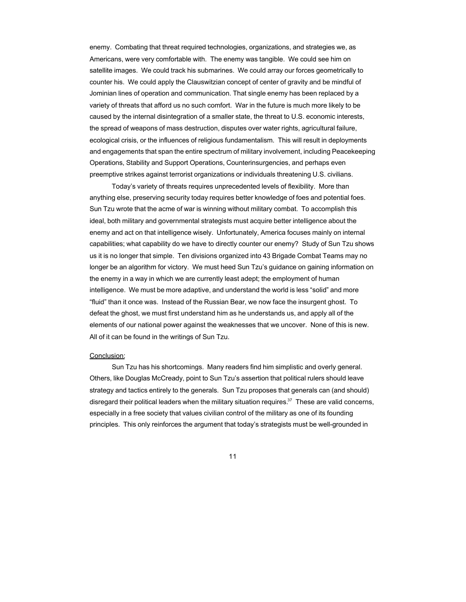enemy. Combating that threat required technologies, organizations, and strategies we, as Americans, were very comfortable with. The enemy was tangible. We could see him on satellite images. We could track his submarines. We could array our forces geometrically to counter his. We could apply the Clauswitzian concept of center of gravity and be mindful of Jominian lines of operation and communication. That single enemy has been replaced by a variety of threats that afford us no such comfort. War in the future is much more likely to be caused by the internal disintegration of a smaller state, the threat to U.S. economic interests, the spread of weapons of mass destruction, disputes over water rights, agricultural failure, ecological crisis, or the influences of religious fundamentalism. This will result in deployments and engagements that span the entire spectrum of military involvement, including Peacekeeping Operations, Stability and Support Operations, Counterinsurgencies, and perhaps even preemptive strikes against terrorist organizations or individuals threatening U.S. civilians.

Today's variety of threats requires unprecedented levels of flexibility. More than anything else, preserving security today requires better knowledge of foes and potential foes. Sun Tzu wrote that the acme of war is winning without military combat. To accomplish this ideal, both military and governmental strategists must acquire better intelligence about the enemy and act on that intelligence wisely. Unfortunately, America focuses mainly on internal capabilities; what capability do we have to directly counter our enemy? Study of Sun Tzu shows us it is no longer that simple. Ten divisions organized into 43 Brigade Combat Teams may no longer be an algorithm for victory. We must heed Sun Tzu's guidance on gaining information on the enemy in a way in which we are currently least adept; the employment of human intelligence. We must be more adaptive, and understand the world is less "solid" and more "fluid" than it once was. Instead of the Russian Bear, we now face the insurgent ghost. To defeat the ghost, we must first understand him as he understands us, and apply all of the elements of our national power against the weaknesses that we uncover. None of this is new. All of it can be found in the writings of Sun Tzu.

### Conclusion:

Sun Tzu has his shortcomings. Many readers find him simplistic and overly general. Others, like Douglas McCready, point to Sun Tzu's assertion that political rulers should leave strategy and tactics entirely to the generals. Sun Tzu proposes that generals can (and should) disregard their political leaders when the military situation requires. $37$  These are valid concerns, especially in a free society that values civilian control of the military as one of its founding principles. This only reinforces the argument that today's strategists must be well-grounded in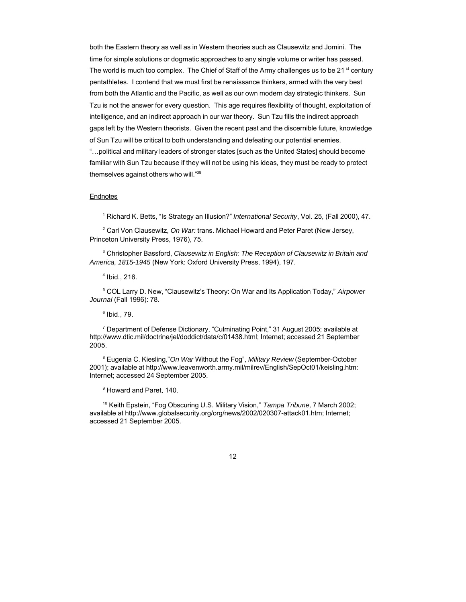both the Eastern theory as well as in Western theories such as Clausewitz and Jomini. The time for simple solutions or dogmatic approaches to any single volume or writer has passed. The world is much too complex. The Chief of Staff of the Army challenges us to be 21<sup>st</sup> century pentathletes. I contend that we must first be renaissance thinkers, armed with the very best from both the Atlantic and the Pacific, as well as our own modern day strategic thinkers. Sun Tzu is not the answer for every question. This age requires flexibility of thought, exploitation of intelligence, and an indirect approach in our war theory. Sun Tzu fills the indirect approach gaps left by the Western theorists. Given the recent past and the discernible future, knowledge of Sun Tzu will be critical to both understanding and defeating our potential enemies.

"…political and military leaders of stronger states [such as the United States] should become familiar with Sun Tzu because if they will not be using his ideas, they must be ready to protect themselves against others who will."<sup>38</sup>

## **Endnotes**

1 Richard K. Betts, "Is Strategy an Illusion?" *International Security*, Vol. 25, (Fall 2000), 47.

2 Carl Von Clausewitz, *On War:* trans. Michael Howard and Peter Paret (New Jersey, Princeton University Press, 1976), 75.

3 Christopher Bassford, *Clausewitz in English: The Reception of Clausewitz in Britain and America, 1815-1945* (New York: Oxford University Press, 1994), 197.

4 Ibid., 216.

5 COL Larry D. New, "Clausewitz's Theory: On War and Its Application Today," *Airpower Journal* (Fall 1996): 78.

 $^6$  Ibid., 79.

<sup>7</sup> Department of Defense Dictionary, "Culminating Point," 31 August 2005; available at http://www.dtic.mil/doctrine/jel/doddict/data/c/01438.html; Internet; accessed 21 September 2005.

8 Eugenia C. Kiesling,"*On War* Without the Fog", *Military Review* (September-October 2001); available at http://www.leavenworth.army.mil/milrev/English/SepOct01/keisling.htm: Internet; accessed 24 September 2005.

9 Howard and Paret, 140.

<sup>10</sup> Keith Epstein, "Fog Obscuring U.S. Military Vision," *Tampa Tribune,* 7 March 2002; available at http://www.globalsecurity.org/org/news/2002/020307-attack01.htm; Internet; accessed 21 September 2005.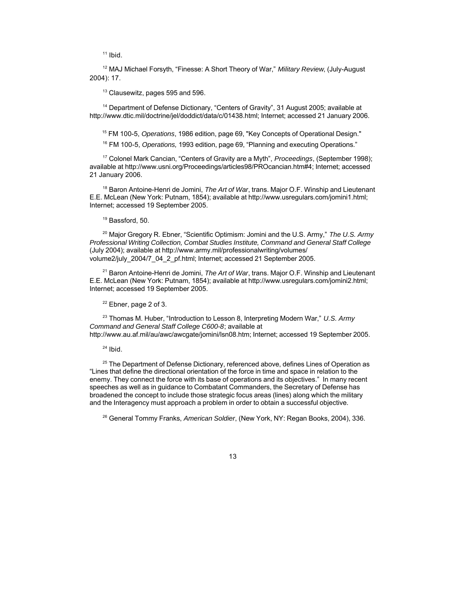$11$  Ibid.

<sup>12</sup> MAJ Michael Forsyth, "Finesse: A Short Theory of War," *Military Review*, (July-August 2004): 17.

<sup>13</sup> Clausewitz, pages 595 and 596.

<sup>14</sup> Department of Defense Dictionary, "Centers of Gravity", 31 August 2005; available at http://www.dtic.mil/doctrine/jel/doddict/data/c/01438.html; Internet; accessed 21 January 2006.

<sup>15</sup> FM 100-5, *Operations*, 1986 edition, page 69, "Key Concepts of Operational Design."

<sup>16</sup> FM 100-5, *Operations,* 1993 edition, page 69, "Planning and executing Operations."

<sup>17</sup> Colonel Mark Cancian, "Centers of Gravity are a Myth", *Proceedings*, (September 1998); available at http://www.usni.org/Proceedings/articles98/PROcancian.htm#4; Internet; accessed 21 January 2006.

<sup>18</sup> Baron Antoine-Henri de Jomini, *The Art of War*, trans. Major O.F. Winship and Lieutenant E.E. McLean (New York: Putnam, 1854); available at http://www.usregulars.com/jomini1.html; Internet; accessed 19 September 2005.

### <sup>19</sup> Bassford, 50.

<sup>20</sup> Major Gregory R. Ebner, "Scientific Optimism: Jomini and the U.S. Army," *The U.S. Army Professional Writing Collection, Combat Studies Institute, Command and General Staff College* (July 2004); available at http://www.army.mil/professionalwriting/volumes/ volume2/july\_2004/7\_04\_2\_pf.html; Internet; accessed 21 September 2005.

<sup>21</sup> Baron Antoine-Henri de Jomini, *The Art of War*, trans. Major O.F. Winship and Lieutenant E.E. McLean (New York: Putnam, 1854); available at http://www.usregulars.com/jomini2.html; Internet; accessed 19 September 2005.

 $22$  Ebner, page 2 of 3.

<sup>23</sup> Thomas M. Huber, "Introduction to Lesson 8, Interpreting Modern War," *U.S. Army Command and General Staff College C600-8*; available at http://www.au.af.mil/au/awc/awcgate/jomini/lsn08.htm; Internet; accessed 19 September 2005.

 $24$  Ibid.

<sup>25</sup> The Department of Defense Dictionary, referenced above, defines Lines of Operation as "Lines that define the directional orientation of the force in time and space in relation to the enemy. They connect the force with its base of operations and its objectives." In many recent speeches as well as in guidance to Combatant Commanders, the Secretary of Defense has broadened the concept to include those strategic focus areas (lines) along which the military and the Interagency must approach a problem in order to obtain a successful objective.

<sup>26</sup> General Tommy Franks, *American Soldier*, (New York, NY: Regan Books, 2004), 336.